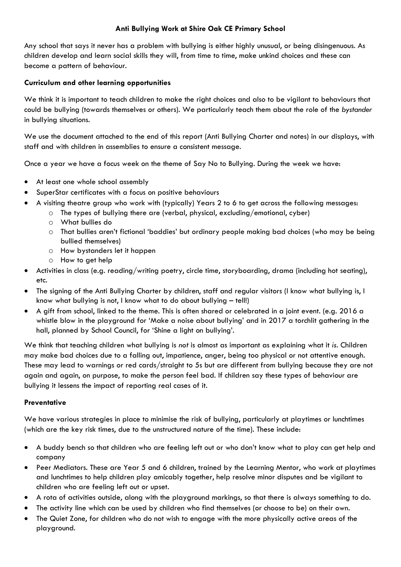### **Anti Bullying Work at Shire Oak CE Primary School**

Any school that says it never has a problem with bullying is either highly unusual, or being disingenuous. As children develop and learn social skills they will, from time to time, make unkind choices and these can become a pattern of behaviour.

#### **Curriculum and other learning opportunities**

We think it is important to teach children to make the right choices and also to be vigilant to behaviours that could be bullying (towards themselves or others). We particularly teach them about the role of the *bystander* in bullying situations.

We use the document attached to the end of this report (Anti Bullying Charter and notes) in our displays, with staff and with children in assemblies to ensure a consistent message.

Once a year we have a focus week on the theme of Say No to Bullying. During the week we have:

- At least one whole school assembly
- SuperStar certificates with a focus on positive behaviours
- A visiting theatre group who work with (typically) Years 2 to 6 to get across the following messages:
	- o The types of bullying there are (verbal, physical, excluding/emotional, cyber)
	- o What bullies do
	- o That bullies aren't fictional 'baddies' but ordinary people making bad choices (who may be being bullied themselves)
	- o How bystanders let it happen
	- o How to get help
- Activities in class (e.g. reading/writing poetry, circle time, storyboarding, drama (including hot seating), etc.
- The signing of the Anti Bullying Charter by children, staff and regular visitors (I know what bullying is, I know what bullying is not, I know what to do about bullying – tell!)
- A gift from school, linked to the theme. This is often shared or celebrated in a joint event. (e.g. 2016 a whistle blow in the playground for 'Make a noise about bullying' and in 2017 a torchlit gathering in the hall, planned by School Council, for 'Shine a light on bullying'.

We think that teaching children what bullying is *not* is almost as important as explaining what it *is.* Children may make bad choices due to a falling out, impatience, anger, being too physical or not attentive enough. These may lead to warnings or red cards/straight to 5s but are different from bullying because they are not again and again, on purpose, to make the person feel bad. If children say these types of behaviour are bullying it lessens the impact of reporting real cases of it.

#### **Preventative**

We have various strategies in place to minimise the risk of bullying, particularly at playtimes or lunchtimes (which are the key risk times, due to the unstructured nature of the time). These include:

- A buddy bench so that children who are feeling left out or who don't know what to play can get help and company
- Peer Mediators. These are Year 5 and 6 children, trained by the Learning Mentor, who work at playtimes and lunchtimes to help children play amicably together, help resolve minor disputes and be vigilant to children who are feeling left out or upset.
- A rota of activities outside, along with the playground markings, so that there is always something to do.
- The activity line which can be used by children who find themselves (or choose to be) on their own.
- The Quiet Zone, for children who do not wish to engage with the more physically active areas of the playground.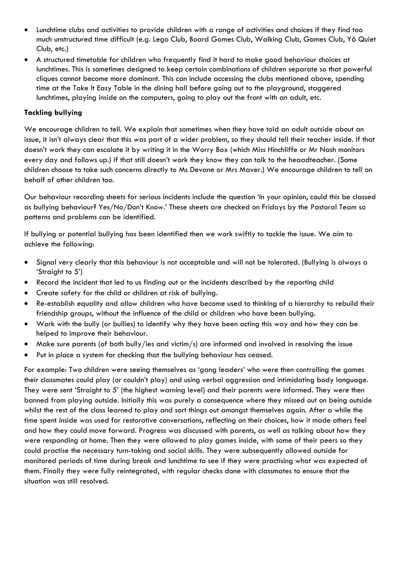- Lunchtime clubs and activities to provide children with a range of activities and choices if they find too much unstructured time difficult (e.g. Lego Club, Board Games Club, Walking Club, Games Club, Y6 Quiet Club, etc.)
- A structured timetable for children who frequently find it hard to make good behaviour choices at lunchtimes. This is sometimes designed to keep certain combinations of children separate so that powerful cliques cannot become more dominant. This can include accessing the clubs mentioned above, spending time at the Take It Easy Table in the dining hall before going out to the playground, staggered lunchtimes, playing inside on the computers, going to play out the front with an adult, etc.

#### **Tackling bullying**

We encourage children to tell. We explain that sometimes when they have told an adult outside about an issue, it isn't always clear that this was part of a wider problem, so they should tell their teacher inside. If that doesn't work they can escalate it by writing it in the Worry Box (which Miss Hinchliffe or Mr Nash monitors every day and follows up.) If that still doesn't work they know they can talk to the heaadteacher. (Some children choose to take such concerns directly to Ms Devane or Mrs Maver.) We encourage children to tell on behalf of other children too.

Our behaviour recording sheets for serious incidents include the question 'In your opinion, could this be classed as bullying behaviour? Yes/No/Don't Know.' These sheets are checked on Fridays by the Pastoral Team so patterns and problems can be identified.

If bullying or potential bullying has been identified then we work swiftly to tackle the issue. We aim to achieve the following:

- Signal very clearly that this behaviour is not acceptable and will not be tolerated. (Bullying is always a 'Straight to 5')
- Record the incident that led to us finding out or the incidents described by the reporting child
- Create safety for the child or children at risk of bullying.
- Re-establish equality and allow children who have become used to thinking of a hierarchy to rebuild their friendship groups, without the influence of the child or children who have been bullying.
- Work with the bully (or bullies) to identify why they have been acting this way and how they can be helped to improve their behaviour.
- Make sure parents (of both bully/ies and victim/s) are informed and involved in resolving the issue
- Put in place a system for checking that the bullying behaviour has ceased.

For example: Two children were seeing themselves as 'gang leaders' who were then controlling the games their classmates could play (or couldn't play) and using verbal aggression and intimidating body language. They were sent 'Straight to 5' (the highest warning level) and their parents were informed. They were then banned from playing outside. Initially this was purely a consequence where they missed out on being outside whilst the rest of the class learned to play and sort things out amongst themselves again. After a while the time spent inside was used for restorative conversations, reflecting on their choices, how it made others feel and how they could move forward. Progress was discussed with parents, as well as talking about how they were responding at home. Then they were allowed to play games inside, with some of their peers so they could practise the necessary turn-taking and social skills. They were subsequently allowed outside for monitored periods of time during break and lunchtime to see if they were practising what was expected of them. Finally they were fully reintegrated, with regular checks done with classmates to ensure that the situation was still resolved.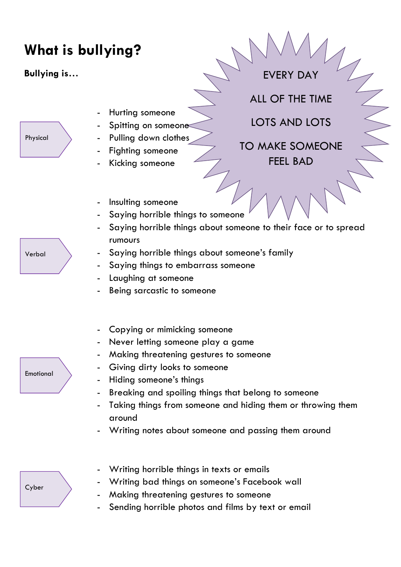# **What is bullying?**

**Bullying is…**

Physical

Hurting someone

- Spitting on someone
- Pulling down clothes
- Fighting someone
- Kicking someone

ALL OF THE TIME

EVERY DAY

LOTS AND LOTS

TO MAKE SOMEONE FEEL BAD

- Insulting someone
- Saying horrible things to someone
- Saying horrible things about someone to their face or to spread rumours
- Saying horrible things about someone's family
- Saying things to embarrass someone
- Laughing at someone
- Being sarcastic to someone
- Copying or mimicking someone
- Never letting someone play a game
- Making threatening gestures to someone
- Giving dirty looks to someone
- Hiding someone's things
- Breaking and spoiling things that belong to someone
- Taking things from someone and hiding them or throwing them around
- Writing notes about someone and passing them around

- Writing horrible things in texts or emails

- Writing bad things on someone's Facebook wall
- Making threatening gestures to someone
- Sending horrible photos and films by text or email

Verbal

Emotional

Cyber